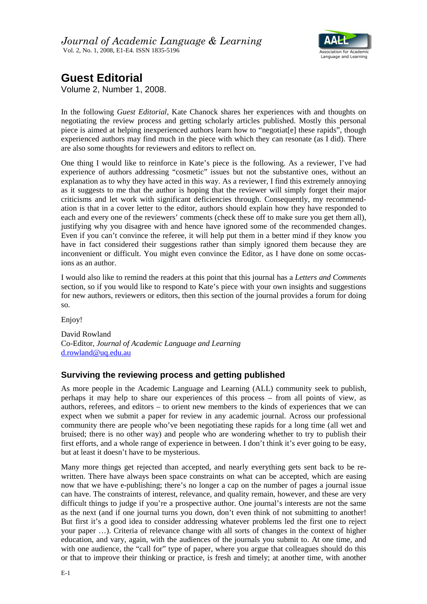

## **Guest Editorial**

Volume 2, Number 1, 2008.

In the following *Guest Editorial*, Kate Chanock shares her experiences with and thoughts on negotiating the review process and getting scholarly articles published. Mostly this personal piece is aimed at helping inexperienced authors learn how to "negotiat[e] these rapids", though experienced authors may find much in the piece with which they can resonate (as I did). There are also some thoughts for reviewers and editors to reflect on.

One thing I would like to reinforce in Kate's piece is the following. As a reviewer, I've had experience of authors addressing "cosmetic" issues but not the substantive ones, without an explanation as to why they have acted in this way. As a reviewer, I find this extremely annoying as it suggests to me that the author is hoping that the reviewer will simply forget their major criticisms and let work with significant deficiencies through. Consequently, my recommendation is that in a cover letter to the editor, authors should explain how they have responded to each and every one of the reviewers' comments (check these off to make sure you get them all), justifying why you disagree with and hence have ignored some of the recommended changes. Even if you can't convince the referee, it will help put them in a better mind if they know you have in fact considered their suggestions rather than simply ignored them because they are inconvenient or difficult. You might even convince the Editor, as I have done on some occasions as an author.

I would also like to remind the readers at this point that this journal has a *Letters and Comments* section, so if you would like to respond to Kate's piece with your own insights and suggestions for new authors, reviewers or editors, then this section of the journal provides a forum for doing so.

Enjoy!

David Rowland Co-Editor, *Journal of Academic Language and Learning*  d.rowland@uq.edu.au

## **Surviving the reviewing process and getting published**

As more people in the Academic Language and Learning (ALL) community seek to publish, perhaps it may help to share our experiences of this process – from all points of view, as authors, referees, and editors – to orient new members to the kinds of experiences that we can expect when we submit a paper for review in any academic journal. Across our professional community there are people who've been negotiating these rapids for a long time (all wet and bruised; there is no other way) and people who are wondering whether to try to publish their first efforts, and a whole range of experience in between. I don't think it's ever going to be easy, but at least it doesn't have to be mysterious.

Many more things get rejected than accepted, and nearly everything gets sent back to be rewritten. There have always been space constraints on what can be accepted, which are easing now that we have e-publishing; there's no longer a cap on the number of pages a journal issue can have. The constraints of interest, relevance, and quality remain, however, and these are very difficult things to judge if you're a prospective author. One journal's interests are not the same as the next (and if one journal turns you down, don't even think of not submitting to another! But first it's a good idea to consider addressing whatever problems led the first one to reject your paper …). Criteria of relevance change with all sorts of changes in the context of higher education, and vary, again, with the audiences of the journals you submit to. At one time, and with one audience, the "call for" type of paper, where you argue that colleagues should do this or that to improve their thinking or practice, is fresh and timely; at another time, with another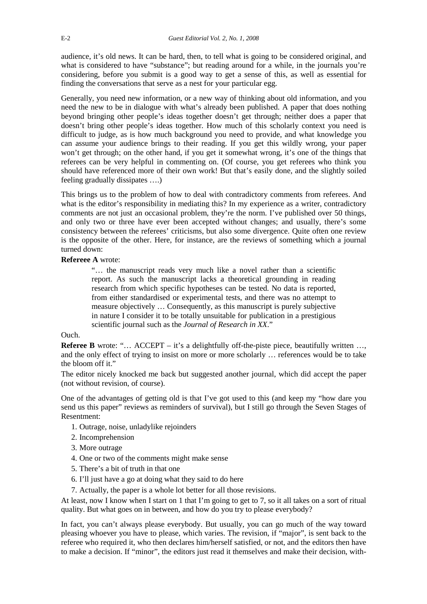audience, it's old news. It can be hard, then, to tell what is going to be considered original, and what is considered to have "substance"; but reading around for a while, in the journals you're considering, before you submit is a good way to get a sense of this, as well as essential for finding the conversations that serve as a nest for your particular egg.

Generally, you need new information, or a new way of thinking about old information, and you need the new to be in dialogue with what's already been published. A paper that does nothing beyond bringing other people's ideas together doesn't get through; neither does a paper that doesn't bring other people's ideas together. How much of this scholarly context you need is difficult to judge, as is how much background you need to provide, and what knowledge you can assume your audience brings to their reading. If you get this wildly wrong, your paper won't get through; on the other hand, if you get it somewhat wrong, it's one of the things that referees can be very helpful in commenting on. (Of course, you get referees who think you should have referenced more of their own work! But that's easily done, and the slightly soiled feeling gradually dissipates ….)

This brings us to the problem of how to deal with contradictory comments from referees. And what is the editor's responsibility in mediating this? In my experience as a writer, contradictory comments are not just an occasional problem, they're the norm. I've published over 50 things, and only two or three have ever been accepted without changes; and usually, there's some consistency between the referees' criticisms, but also some divergence. Quite often one review is the opposite of the other. Here, for instance, are the reviews of something which a journal turned down:

## **Refereee A** wrote:

"… the manuscript reads very much like a novel rather than a scientific report. As such the manuscript lacks a theoretical grounding in reading research from which specific hypotheses can be tested. No data is reported, from either standardised or experimental tests, and there was no attempt to measure objectively … Consequently, as this manuscript is purely subjective in nature I consider it to be totally unsuitable for publication in a prestigious scientific journal such as the *Journal of Research in XX*."

## Ouch.

**Referee B** wrote: "... ACCEPT – it's a delightfully off-the-piste piece, beautifully written ..., and the only effect of trying to insist on more or more scholarly … references would be to take the bloom off it."

The editor nicely knocked me back but suggested another journal, which did accept the paper (not without revision, of course).

One of the advantages of getting old is that I've got used to this (and keep my "how dare you send us this paper" reviews as reminders of survival), but I still go through the Seven Stages of Resentment:

- 1. Outrage, noise, unladylike rejoinders
- 2. Incomprehension
- 3. More outrage
- 4. One or two of the comments might make sense
- 5. There's a bit of truth in that one
- 6. I'll just have a go at doing what they said to do here
- 7. Actually, the paper is a whole lot better for all those revisions.

At least, now I know when I start on 1 that I'm going to get to 7, so it all takes on a sort of ritual quality. But what goes on in between, and how do you try to please everybody?

In fact, you can't always please everybody. But usually, you can go much of the way toward pleasing whoever you have to please, which varies. The revision, if "major", is sent back to the referee who required it, who then declares him/herself satisfied, or not, and the editors then have to make a decision. If "minor", the editors just read it themselves and make their decision, with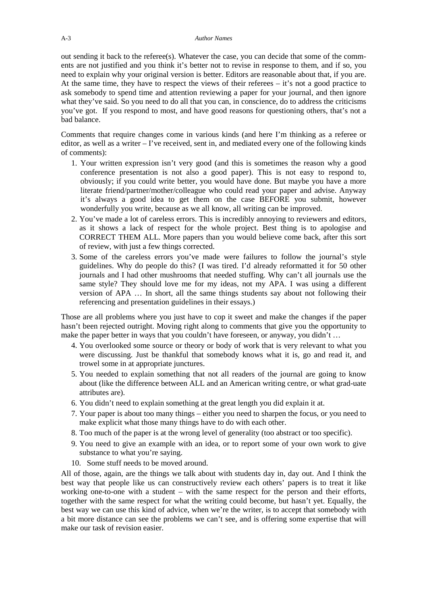out sending it back to the referee(s). Whatever the case, you can decide that some of the comments are not justified and you think it's better not to revise in response to them, and if so, you need to explain why your original version is better. Editors are reasonable about that, if you are. At the same time, they have to respect the views of their referees – it's not a good practice to ask somebody to spend time and attention reviewing a paper for your journal, and then ignore what they've said. So you need to do all that you can, in conscience, do to address the criticisms you've got. If you respond to most, and have good reasons for questioning others, that's not a bad balance.

Comments that require changes come in various kinds (and here I'm thinking as a referee or editor, as well as a writer – I've received, sent in, and mediated every one of the following kinds of comments):

- 1. Your written expression isn't very good (and this is sometimes the reason why a good conference presentation is not also a good paper). This is not easy to respond to, obviously; if you could write better, you would have done. But maybe you have a more literate friend/partner/mother/colleague who could read your paper and advise. Anyway it's always a good idea to get them on the case BEFORE you submit, however wonderfully you write, because as we all know, all writing can be improved.
- 2. You've made a lot of careless errors. This is incredibly annoying to reviewers and editors, as it shows a lack of respect for the whole project. Best thing is to apologise and CORRECT THEM ALL. More papers than you would believe come back, after this sort of review, with just a few things corrected.
- 3. Some of the careless errors you've made were failures to follow the journal's style guidelines. Why do people do this? (I was tired. I'd already reformatted it for 50 other journals and I had other mushrooms that needed stuffing. Why can't all journals use the same style? They should love me for my ideas, not my APA. I was using a different version of APA … In short, all the same things students say about not following their referencing and presentation guidelines in their essays.)

Those are all problems where you just have to cop it sweet and make the changes if the paper hasn't been rejected outright. Moving right along to comments that give you the opportunity to make the paper better in ways that you couldn't have foreseen, or anyway, you didn't ...

- 4. You overlooked some source or theory or body of work that is very relevant to what you were discussing. Just be thankful that somebody knows what it is, go and read it, and trowel some in at appropriate junctures.
- 5. You needed to explain something that not all readers of the journal are going to know about (like the difference between ALL and an American writing centre, or what grad-uate attributes are).
- 6. You didn't need to explain something at the great length you did explain it at.
- 7. Your paper is about too many things either you need to sharpen the focus, or you need to make explicit what those many things have to do with each other.
- 8. Too much of the paper is at the wrong level of generality (too abstract or too specific).
- 9. You need to give an example with an idea, or to report some of your own work to give substance to what you're saying.
- 10. Some stuff needs to be moved around.

All of those, again, are the things we talk about with students day in, day out. And I think the best way that people like us can constructively review each others' papers is to treat it like working one-to-one with a student – with the same respect for the person and their efforts, together with the same respect for what the writing could become, but hasn't yet. Equally, the best way we can use this kind of advice, when we're the writer, is to accept that somebody with a bit more distance can see the problems we can't see, and is offering some expertise that will make our task of revision easier.